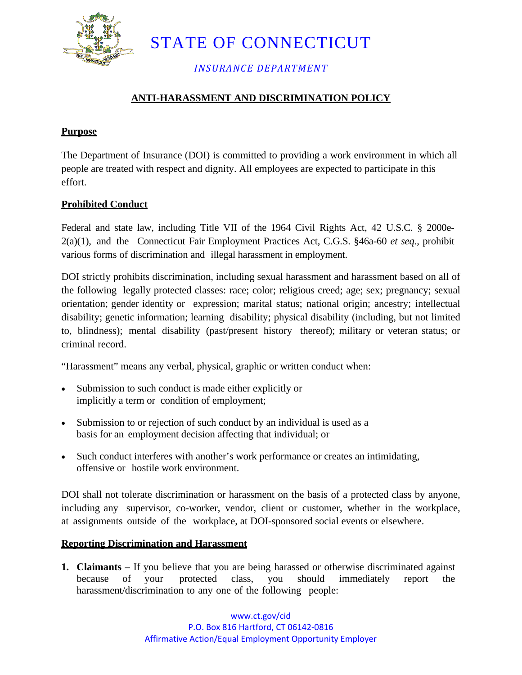

STATE OF CONNECTICUT

*INSURANCE DEPARTMENT*

## **ANTI-HARASSMENT AND DISCRIMINATION POLICY**

### **Purpose**

The Department of Insurance (DOI) is committed to providing a work environment in which all people are treated with respect and dignity. All employees are expected to participate in this effort.

## **Prohibited Conduct**

Federal and state law, including Title VII of the 1964 Civil Rights Act, 42 U.S.C. § 2000e-2(a)(1), and the Connecticut Fair Employment Practices Act, C.G.S. §46a-60 *et seq*., prohibit various forms of discrimination and illegal harassment in employment.

DOI strictly prohibits discrimination, including sexual harassment and harassment based on all of the following legally protected classes: race; color; religious creed; age; sex; pregnancy; sexual orientation; gender identity or expression; marital status; national origin; ancestry; intellectual disability; genetic information; learning disability; physical disability (including, but not limited to, blindness); mental disability (past/present history thereof); military or veteran status; or criminal record.

"Harassment" means any verbal, physical, graphic or written conduct when:

- Submission to such conduct is made either explicitly or implicitly a term or condition of employment;
- Submission to or rejection of such conduct by an individual is used as a basis for an employment decision affecting that individual; or
- Such conduct interferes with another's work performance or creates an intimidating, offensive or hostile work environment.

DOI shall not tolerate discrimination or harassment on the basis of a protected class by anyone, including any supervisor, co-worker, vendor, client or customer, whether in the workplace, at assignments outside of the workplace, at DOI-sponsored social events or elsewhere.

### **Reporting Discrimination and Harassment**

**1. Claimants** – If you believe that you are being harassed or otherwise discriminated against because of your protected class, you should immediately report the harassment/discrimination to any one of the following people: